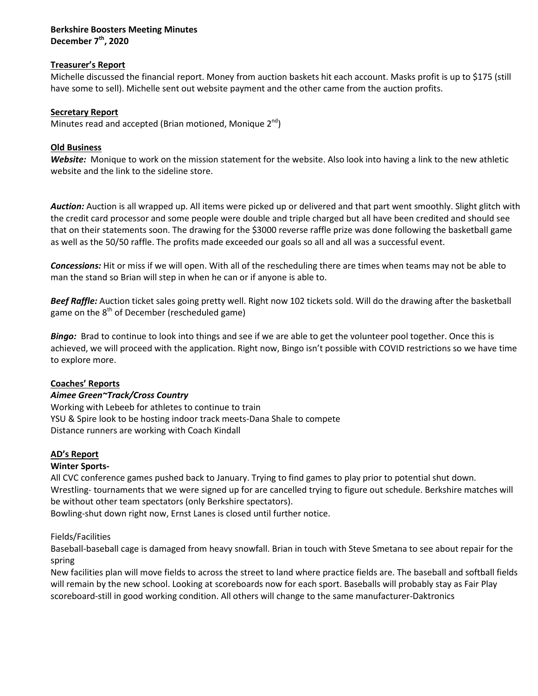### **Berkshire Boosters Meeting Minutes December 7th, 2020**

## **Treasurer's Report**

Michelle discussed the financial report. Money from auction baskets hit each account. Masks profit is up to \$175 (still have some to sell). Michelle sent out website payment and the other came from the auction profits.

## **Secretary Report**

Minutes read and accepted (Brian motioned, Monique  $2^{nd}$ )

## **Old Business**

*Website:* Monique to work on the mission statement for the website. Also look into having a link to the new athletic website and the link to the sideline store.

*Auction:* Auction is all wrapped up. All items were picked up or delivered and that part went smoothly. Slight glitch with the credit card processor and some people were double and triple charged but all have been credited and should see that on their statements soon. The drawing for the \$3000 reverse raffle prize was done following the basketball game as well as the 50/50 raffle. The profits made exceeded our goals so all and all was a successful event.

*Concessions:* Hit or miss if we will open. With all of the rescheduling there are times when teams may not be able to man the stand so Brian will step in when he can or if anyone is able to.

*Beef Raffle:* Auction ticket sales going pretty well. Right now 102 tickets sold. Will do the drawing after the basketball game on the  $8<sup>th</sup>$  of December (rescheduled game)

*Bingo:* Brad to continue to look into things and see if we are able to get the volunteer pool together. Once this is achieved, we will proceed with the application. Right now, Bingo isn't possible with COVID restrictions so we have time to explore more.

# **Coaches' Reports**

# *Aimee Green~Track/Cross Country*

Working with Lebeeb for athletes to continue to train YSU & Spire look to be hosting indoor track meets-Dana Shale to compete Distance runners are working with Coach Kindall

# **AD's Report**

# **Winter Sports-**

All CVC conference games pushed back to January. Trying to find games to play prior to potential shut down. Wrestling- tournaments that we were signed up for are cancelled trying to figure out schedule. Berkshire matches will be without other team spectators (only Berkshire spectators).

Bowling-shut down right now, Ernst Lanes is closed until further notice.

## Fields/Facilities

Baseball-baseball cage is damaged from heavy snowfall. Brian in touch with Steve Smetana to see about repair for the spring

New facilities plan will move fields to across the street to land where practice fields are. The baseball and softball fields will remain by the new school. Looking at scoreboards now for each sport. Baseballs will probably stay as Fair Play scoreboard-still in good working condition. All others will change to the same manufacturer-Daktronics